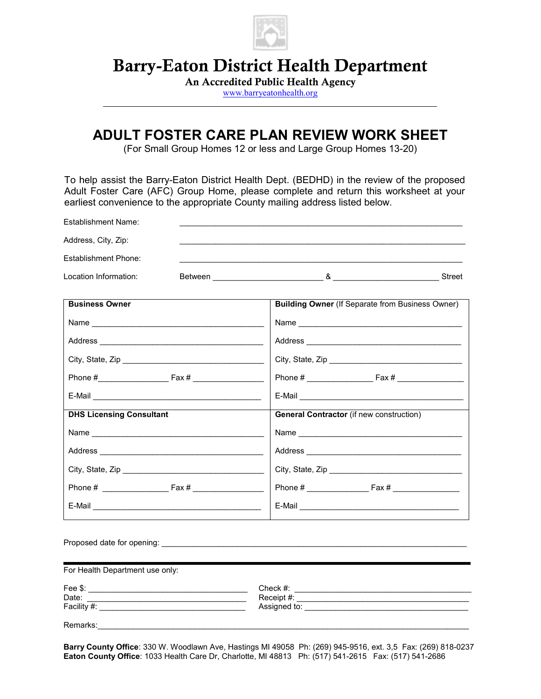

# Barry-Eaton District Health Department

An Accredited Public Health Agency

www.barryeatonhealth.org

# ADULT FOSTER CARE PLAN REVIEW WORK SHEET

(For Small Group Homes 12 or less and Large Group Homes 13-20)

To help assist the Barry-Eaton District Health Dept. (BEDHD) in the review of the proposed Adult Foster Care (AFC) Group Home, please complete and return this worksheet at your earliest convenience to the appropriate County mailing address listed below.

| Establishment Name:             |                                                                                                                                                                                                                                      |
|---------------------------------|--------------------------------------------------------------------------------------------------------------------------------------------------------------------------------------------------------------------------------------|
| Address, City, Zip:             |                                                                                                                                                                                                                                      |
| Establishment Phone:            |                                                                                                                                                                                                                                      |
| Location Information:           |                                                                                                                                                                                                                                      |
| <b>Business Owner</b>           | <b>Building Owner (If Separate from Business Owner)</b>                                                                                                                                                                              |
|                                 |                                                                                                                                                                                                                                      |
|                                 |                                                                                                                                                                                                                                      |
|                                 |                                                                                                                                                                                                                                      |
|                                 |                                                                                                                                                                                                                                      |
|                                 |                                                                                                                                                                                                                                      |
| <b>DHS Licensing Consultant</b> | <b>General Contractor</b> (if new construction)                                                                                                                                                                                      |
|                                 |                                                                                                                                                                                                                                      |
|                                 |                                                                                                                                                                                                                                      |
|                                 | City, State, Zip                                                                                                                                                                                                                     |
|                                 |                                                                                                                                                                                                                                      |
| E-Mail <b>E-Mail</b>            |                                                                                                                                                                                                                                      |
|                                 |                                                                                                                                                                                                                                      |
| For Health Department use only: |                                                                                                                                                                                                                                      |
| Date:                           | Assigned to: <u>example and the set of the set of the set of the set of the set of the set of the set of the set of the set of the set of the set of the set of the set of the set of the set of the set of the set of the set o</u> |
|                                 |                                                                                                                                                                                                                                      |

Barry County Office: 330 W. Woodlawn Ave, Hastings MI 49058 Ph: (269) 945-9516, ext. 3,5 Fax: (269) 818-0237 Eaton County Office: 1033 Health Care Dr, Charlotte, MI 48813 Ph: (517) 541-2615 Fax: (517) 541-2686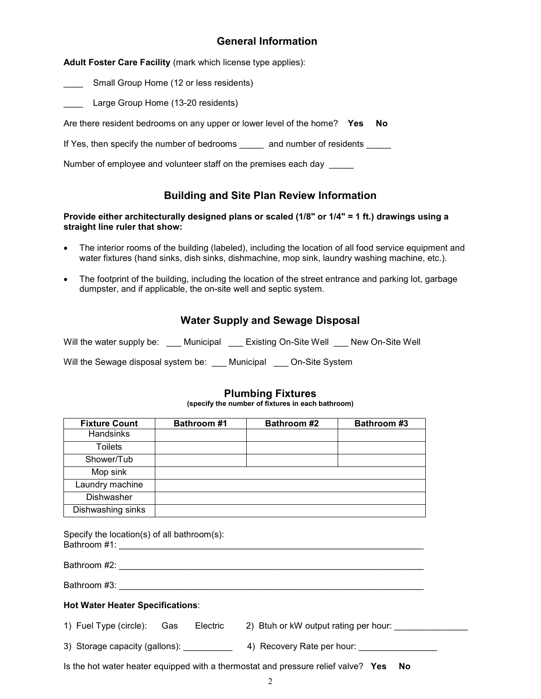### General Information

Adult Foster Care Facility (mark which license type applies):

**EXECUTE:** Small Group Home (12 or less residents)

Large Group Home (13-20 residents)

Are there resident bedrooms on any upper or lower level of the home? Yes No

If Yes, then specify the number of bedrooms \_\_\_\_\_ and number of residents \_\_\_\_\_

Number of employee and volunteer staff on the premises each day

### Building and Site Plan Review Information

#### Provide either architecturally designed plans or scaled (1/8" or 1/4" = 1 ft.) drawings using a straight line ruler that show:

- The interior rooms of the building (labeled), including the location of all food service equipment and water fixtures (hand sinks, dish sinks, dishmachine, mop sink, laundry washing machine, etc.).
- The footprint of the building, including the location of the street entrance and parking lot, garbage dumpster, and if applicable, the on-site well and septic system.

|  |  | <b>Water Supply and Sewage Disposal</b> |
|--|--|-----------------------------------------|
|--|--|-----------------------------------------|

Will the water supply be: \_\_\_ Municipal \_\_\_ Existing On-Site Well \_\_\_ New On-Site Well

Will the Sewage disposal system be: \_\_\_ Municipal \_\_\_ On-Site System

### Plumbing Fixtures

(specify the number of fixtures in each bathroom)

| <b>Fixture Count</b> | <b>Bathroom #1</b> | <b>Bathroom #2</b> | <b>Bathroom #3</b> |
|----------------------|--------------------|--------------------|--------------------|
| Handsinks            |                    |                    |                    |
| <b>Toilets</b>       |                    |                    |                    |
| Shower/Tub           |                    |                    |                    |
| Mop sink             |                    |                    |                    |
| Laundry machine      |                    |                    |                    |
| Dishwasher           |                    |                    |                    |
| Dishwashing sinks    |                    |                    |                    |

Specify the location(s) of all bathroom(s): Bathroom #1: \_\_\_\_\_\_\_\_\_\_\_\_\_\_\_\_\_\_\_\_\_\_\_\_\_\_\_\_\_\_\_\_\_\_\_\_\_\_\_\_\_\_\_\_\_\_\_\_\_\_\_\_\_\_\_\_\_\_\_\_\_\_

Bathroom #2: **with a strategies of the strategies of the strategies of the strategies of the strategies of the strategies of the strategies of the strategies of the strategies of the strategies of the strategies of the str** 

Bathroom #3: \_\_\_\_\_\_\_\_\_\_\_\_\_\_\_\_\_\_\_\_\_\_\_\_\_\_\_\_\_\_\_\_\_\_\_\_\_\_\_\_\_\_\_\_\_\_\_\_\_\_\_\_\_\_\_\_\_\_\_\_\_\_

#### Hot Water Heater Specifications:

| 1) Fuel Type (circle):         | Gas | Electric | 2) Btuh or kW output rating per hour: |
|--------------------------------|-----|----------|---------------------------------------|
| 3) Storage capacity (gallons): |     |          | 4) Recovery Rate per hour:            |

Is the hot water heater equipped with a thermostat and pressure relief valve? Yes No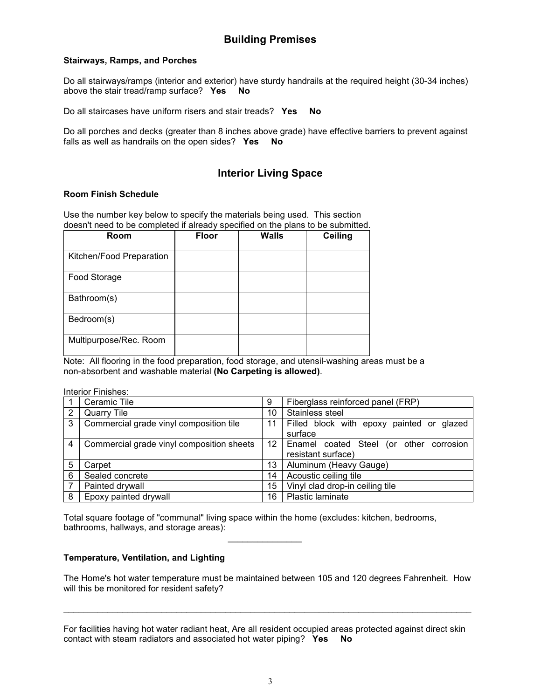### Building Premises

#### Stairways, Ramps, and Porches

Do all stairways/ramps (interior and exterior) have sturdy handrails at the required height (30-34 inches) above the stair tread/ramp surface? Yes No

Do all staircases have uniform risers and stair treads? Yes No

Do all porches and decks (greater than 8 inches above grade) have effective barriers to prevent against falls as well as handrails on the open sides? Yes No

### Interior Living Space

#### Room Finish Schedule

Use the number key below to specify the materials being used. This section doesn't need to be completed if already specified on the plans to be submitted.

| Room                     | Floor | Walls | Ceiling |
|--------------------------|-------|-------|---------|
| Kitchen/Food Preparation |       |       |         |
| Food Storage             |       |       |         |
| Bathroom(s)              |       |       |         |
| Bedroom(s)               |       |       |         |
| Multipurpose/Rec. Room   |       |       |         |

Note: All flooring in the food preparation, food storage, and utensil-washing areas must be a non-absorbent and washable material (No Carpeting is allowed).

Interior Finishes:

|                | Ceramic Tile                              | 9  | Fiberglass reinforced panel (FRP)         |
|----------------|-------------------------------------------|----|-------------------------------------------|
| $\overline{2}$ | Quarry Tile                               | 10 | Stainless steel                           |
| 3              | Commercial grade vinyl composition tile   | 11 | Filled block with epoxy painted or glazed |
|                |                                           |    | surface                                   |
| 4              | Commercial grade vinyl composition sheets | 12 | Enamel coated Steel (or other corrosion   |
|                |                                           |    | resistant surface)                        |
| 5              | Carpet                                    | 13 | Aluminum (Heavy Gauge)                    |
| 6              | Sealed concrete                           | 14 | Acoustic ceiling tile                     |
|                | Painted drywall                           | 15 | Vinyl clad drop-in ceiling tile           |
| 8              | Epoxy painted drywall                     | 16 | Plastic laminate                          |

Total square footage of "communal" living space within the home (excludes: kitchen, bedrooms, bathrooms, hallways, and storage areas):

#### Temperature, Ventilation, and Lighting

 $\mathcal{L}_\mathcal{L} = \{ \mathcal{L}_\mathcal{L} \mid \mathcal{L}_\mathcal{L} \in \mathcal{L}_\mathcal{L} \}$  , where  $\mathcal{L}_\mathcal{L} = \{ \mathcal{L}_\mathcal{L} \mid \mathcal{L}_\mathcal{L} \in \mathcal{L}_\mathcal{L} \}$ 

The Home's hot water temperature must be maintained between 105 and 120 degrees Fahrenheit. How will this be monitored for resident safety?

\_\_\_\_\_\_\_\_\_\_\_\_\_\_\_\_\_\_\_\_\_\_\_\_\_\_\_\_\_\_\_\_\_\_\_\_\_\_\_\_\_\_\_\_\_\_\_\_\_\_\_\_\_\_\_\_\_\_\_\_\_\_\_\_\_\_\_\_\_\_\_\_\_\_\_\_\_\_\_\_\_\_\_

| For facilities having hot water radiant heat, Are all resident occupied areas protected against direct skin |  |  |  |  |
|-------------------------------------------------------------------------------------------------------------|--|--|--|--|
| contact with steam radiators and associated hot water piping? Yes No                                        |  |  |  |  |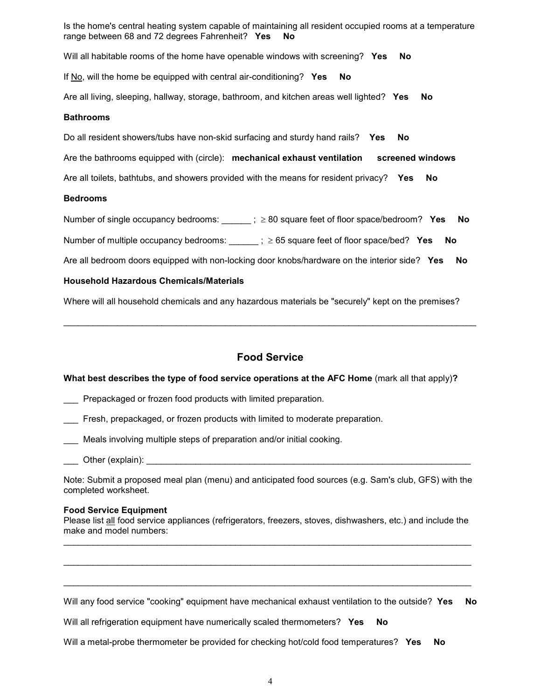Is the home's central heating system capable of maintaining all resident occupied rooms at a temperature range between 68 and 72 degrees Fahrenheit? Yes No

Will all habitable rooms of the home have openable windows with screening? Yes No

If No, will the home be equipped with central air-conditioning? Yes No

Are all living, sleeping, hallway, storage, bathroom, and kitchen areas well lighted? Yes No

#### **Bathrooms**

Do all resident showers/tubs have non-skid surfacing and sturdy hand rails? Yes No

Are the bathrooms equipped with (circle): mechanical exhaust ventilation screened windows

Are all toilets, bathtubs, and showers provided with the means for resident privacy? Yes No

#### Bedrooms

Number of single occupancy bedrooms:  $\qquad ; \geq 80$  square feet of floor space/bedroom? Yes No

Number of multiple occupancy bedrooms:  $\qquad \qquad$   $; \geq 65$  square feet of floor space/bed? Yes No

Are all bedroom doors equipped with non-locking door knobs/hardware on the interior side? Yes No

#### Household Hazardous Chemicals/Materials

Where will all household chemicals and any hazardous materials be "securely" kept on the premises?

### Food Service

 $\_$  , and the set of the set of the set of the set of the set of the set of the set of the set of the set of the set of the set of the set of the set of the set of the set of the set of the set of the set of the set of th

#### What best describes the type of food service operations at the AFC Home (mark all that apply)?

- Prepackaged or frozen food products with limited preparation.
- Fresh, prepackaged, or frozen products with limited to moderate preparation.
- Meals involving multiple steps of preparation and/or initial cooking.
- \_\_\_ Other (explain): \_\_\_\_\_\_\_\_\_\_\_\_\_\_\_\_\_\_\_\_\_\_\_\_\_\_\_\_\_\_\_\_\_\_\_\_\_\_\_\_\_\_\_\_\_\_\_\_\_\_\_\_\_\_\_\_\_\_\_\_\_\_\_\_\_\_

Note: Submit a proposed meal plan (menu) and anticipated food sources (e.g. Sam's club, GFS) with the completed worksheet.

#### Food Service Equipment

Please list all food service appliances (refrigerators, freezers, stoves, dishwashers, etc.) and include the make and model numbers: \_\_\_\_\_\_\_\_\_\_\_\_\_\_\_\_\_\_\_\_\_\_\_\_\_\_\_\_\_\_\_\_\_\_\_\_\_\_\_\_\_\_\_\_\_\_\_\_\_\_\_\_\_\_\_\_\_\_\_\_\_\_\_\_\_\_\_\_\_\_\_\_\_\_\_\_\_\_\_\_\_\_\_

\_\_\_\_\_\_\_\_\_\_\_\_\_\_\_\_\_\_\_\_\_\_\_\_\_\_\_\_\_\_\_\_\_\_\_\_\_\_\_\_\_\_\_\_\_\_\_\_\_\_\_\_\_\_\_\_\_\_\_\_\_\_\_\_\_\_\_\_\_\_\_\_\_\_\_\_\_\_\_\_\_\_\_

\_\_\_\_\_\_\_\_\_\_\_\_\_\_\_\_\_\_\_\_\_\_\_\_\_\_\_\_\_\_\_\_\_\_\_\_\_\_\_\_\_\_\_\_\_\_\_\_\_\_\_\_\_\_\_\_\_\_\_\_\_\_\_\_\_\_\_\_\_\_\_\_\_\_\_\_\_\_\_\_\_\_\_

Will any food service "cooking" equipment have mechanical exhaust ventilation to the outside? Yes No

Will all refrigeration equipment have numerically scaled thermometers? Yes No

Will a metal-probe thermometer be provided for checking hot/cold food temperatures? Yes No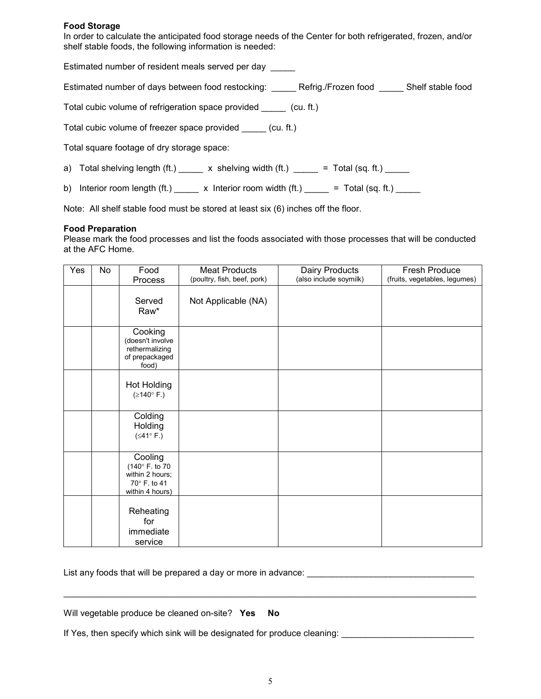#### Food Storage

In order to calculate the anticipated food storage needs of the Center for both refrigerated, frozen, and/or shelf stable foods, the following information is needed:

Estimated number of resident meals served per day \_\_\_\_\_

Estimated number of days between food restocking: \_\_\_\_\_ Refrig./Frozen food \_\_\_\_\_ Shelf stable food

Total cubic volume of refrigeration space provided \_\_\_\_\_ (cu. ft.)

Total cubic volume of freezer space provided \_\_\_\_\_ (cu. ft.)

Total square footage of dry storage space:

a) Total shelving length (ft.)  $\frac{1}{\sqrt{1-\frac{1}{\sqrt{1-\frac{1}{\sqrt{1-\frac{1}{\sqrt{1-\frac{1}{\sqrt{1-\frac{1}{\sqrt{1-\frac{1}{\sqrt{1-\frac{1}{\sqrt{1-\frac{1}{\sqrt{1-\frac{1}{\sqrt{1-\frac{1}{\sqrt{1-\frac{1}{\sqrt{1-\frac{1}{\sqrt{1-\frac{1}{\sqrt{1-\frac{1}{\sqrt{1-\frac{1}{\sqrt{1-\frac{1}{\sqrt{1-\frac{1}{\sqrt{1-\frac{1}{\sqrt{1-\frac{1}{\sqrt{1-\frac{1}{\sqrt{1$ 

b) Interior room length (ft.)  $\frac{1}{\sqrt{1-\frac{1}{\sqrt{1-\frac{1}{\sqrt{1-\frac{1}{\sqrt{1-\frac{1}{\sqrt{1-\frac{1}{\sqrt{1-\frac{1}{\sqrt{1-\frac{1}{\sqrt{1-\frac{1}{\sqrt{1-\frac{1}{\sqrt{1-\frac{1}{\sqrt{1-\frac{1}{\sqrt{1-\frac{1}{\sqrt{1-\frac{1}{\sqrt{1-\frac{1}{\sqrt{1-\frac{1}{\sqrt{1-\frac{1}{\sqrt{1-\frac{1}{\sqrt{1-\frac{1}{\sqrt{1-\frac{1}{\sqrt{1-\frac{1}{\sqrt{1-\$ 

Note: All shelf stable food must be stored at least six (6) inches off the floor.

#### Food Preparation

Please mark the food processes and list the foods associated with those processes that will be conducted at the AFC Home.

| Yes | No | Food<br>Process                                                                | <b>Meat Products</b><br>(poultry, fish, beef, pork) | Dairy Products<br>(also include soymilk) | <b>Fresh Produce</b><br>(fruits, vegetables, legumes) |
|-----|----|--------------------------------------------------------------------------------|-----------------------------------------------------|------------------------------------------|-------------------------------------------------------|
|     |    | Served<br>Raw*                                                                 | Not Applicable (NA)                                 |                                          |                                                       |
|     |    | Cooking<br>(doesn't involve<br>rethermalizing<br>of prepackaged<br>food)       |                                                     |                                          |                                                       |
|     |    | Hot Holding<br>(≥140° F.)                                                      |                                                     |                                          |                                                       |
|     |    | Colding<br>Holding<br>(≤41° F.)                                                |                                                     |                                          |                                                       |
|     |    | Cooling<br>(140°F. to 70<br>within 2 hours;<br>70° F. to 41<br>within 4 hours) |                                                     |                                          |                                                       |
|     |    | Reheating<br>for<br>immediate<br>service                                       |                                                     |                                          |                                                       |

List any foods that will be prepared a day or more in advance: \_\_\_\_\_\_\_\_\_\_\_\_\_\_\_\_\_\_\_\_\_\_\_\_

| Will vegetable produce be cleaned on-site? Yes No |
|---------------------------------------------------|
|---------------------------------------------------|

If Yes, then specify which sink will be designated for produce cleaning: \_\_\_\_\_\_\_\_\_\_\_\_\_\_\_\_\_\_\_\_\_\_\_\_\_\_\_

 $\_$  , and the set of the set of the set of the set of the set of the set of the set of the set of the set of the set of the set of the set of the set of the set of the set of the set of the set of the set of the set of th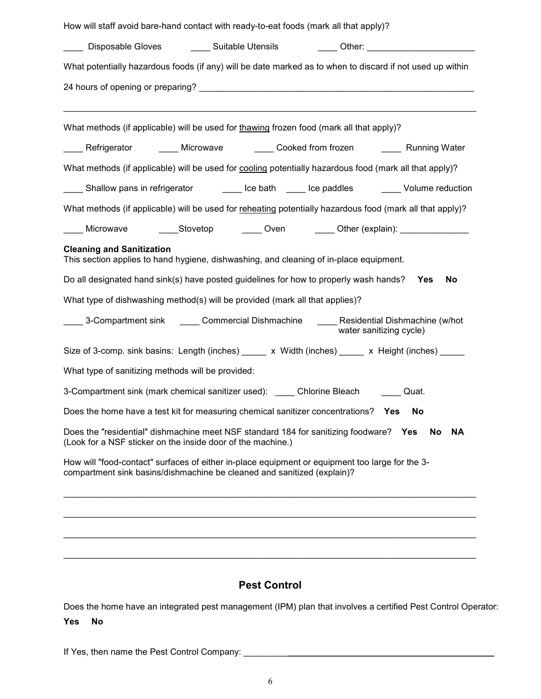| How will staff avoid bare-hand contact with ready-to-eat foods (mark all that apply)?                                                                                      |
|----------------------------------------------------------------------------------------------------------------------------------------------------------------------------|
| _____ Disposable Gloves ________ Suitable Utensils _________ Other: ___________________                                                                                    |
| What potentially hazardous foods (if any) will be date marked as to when to discard if not used up within                                                                  |
|                                                                                                                                                                            |
| What methods (if applicable) will be used for thawing frozen food (mark all that apply)?                                                                                   |
| _____ Refrigerator _______ Microwave _______ Cooked from frozen _______ Running Water                                                                                      |
| What methods (if applicable) will be used for cooling potentially hazardous food (mark all that apply)?                                                                    |
| _____ Shallow pans in refrigerator ________ lce bath _____ lce paddles _______ Volume reduction                                                                            |
| What methods (if applicable) will be used for reheating potentially hazardous food (mark all that apply)?                                                                  |
| Microwave _______Stovetop ________ Oven ________ Other (explain): _______________                                                                                          |
| <b>Cleaning and Sanitization</b><br>This section applies to hand hygiene, dishwashing, and cleaning of in-place equipment.                                                 |
| Do all designated hand sink(s) have posted guidelines for how to properly wash hands? Yes<br><b>No</b>                                                                     |
| What type of dishwashing method(s) will be provided (mark all that applies)?                                                                                               |
| _____ 3-Compartment sink ______ Commercial Dishmachine ______ Residential Dishmachine (w/hot<br>water sanitizing cycle)                                                    |
| Size of 3-comp. sink basins: Length (inches) _____ x Width (inches) _____ x Height (inches) _____                                                                          |
| What type of sanitizing methods will be provided:                                                                                                                          |
| 3-Compartment sink (mark chemical sanitizer used): Chlorine Bleach _____<br>Quat.                                                                                          |
| Does the home have a test kit for measuring chemical sanitizer concentrations? Yes<br>No                                                                                   |
| Does the "residential" dishmachine meet NSF standard 184 for sanitizing foodware?<br>Yes<br>No<br>ΝA<br>(Look for a NSF sticker on the inside door of the machine.)        |
| How will "food-contact" surfaces of either in-place equipment or equipment too large for the 3-<br>compartment sink basins/dishmachine be cleaned and sanitized (explain)? |
|                                                                                                                                                                            |
|                                                                                                                                                                            |
|                                                                                                                                                                            |

# Pest Control

 $\_$  , and the set of the set of the set of the set of the set of the set of the set of the set of the set of the set of the set of the set of the set of the set of the set of the set of the set of the set of the set of th

Does the home have an integrated pest management (IPM) plan that involves a certified Pest Control Operator:

### Yes No

If Yes, then name the Pest Control Company: \_\_\_\_\_\_\_\_\_\_\_\_\_\_\_\_\_\_\_\_\_\_\_\_\_\_\_\_\_\_\_\_\_\_\_\_\_\_\_\_\_\_\_\_\_\_\_\_\_\_\_